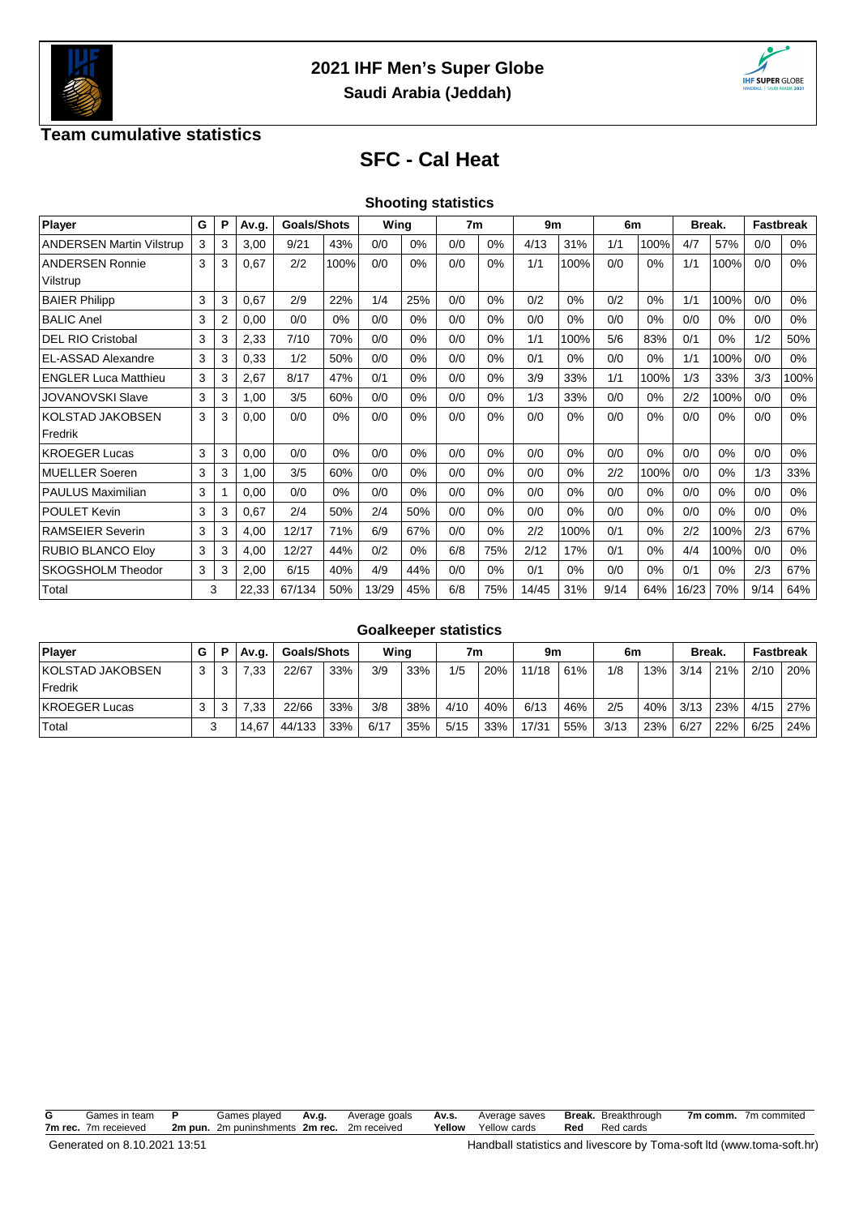



### **Team cumulative statistics**

# **SFC - Cal Heat**

|  | <b>Shooting statistics</b> |
|--|----------------------------|
|  |                            |

| Player                          | G | P | Av.g. | <b>Goals/Shots</b> |       | Wing  |       | 7 <sub>m</sub> |       | 9m    |       | 6m   |      | Break. |       | <b>Fastbreak</b> |       |
|---------------------------------|---|---|-------|--------------------|-------|-------|-------|----------------|-------|-------|-------|------|------|--------|-------|------------------|-------|
| <b>ANDERSEN Martin Vilstrup</b> | 3 | 3 | 3,00  | 9/21               | 43%   | 0/0   | 0%    | 0/0            | $0\%$ | 4/13  | 31%   | 1/1  | 100% | 4/7    | 57%   | 0/0              | 0%    |
| <b>ANDERSEN Ronnie</b>          | 3 | 3 | 0,67  | 2/2                | 100%  | 0/0   | 0%    | 0/0            | 0%    | 1/1   | 100%  | 0/0  | 0%   | 1/1    | 100%  | 0/0              | 0%    |
| Vilstrup                        |   |   |       |                    |       |       |       |                |       |       |       |      |      |        |       |                  |       |
| <b>BAIER Philipp</b>            | 3 | 3 | 0,67  | 2/9                | 22%   | 1/4   | 25%   | 0/0            | 0%    | 0/2   | 0%    | 0/2  | 0%   | 1/1    | 100%  | 0/0              | 0%    |
| <b>BALIC Anel</b>               | 3 | 2 | 0,00  | 0/0                | 0%    | 0/0   | $0\%$ | 0/0            | $0\%$ | 0/0   | 0%    | 0/0  | 0%   | 0/0    | 0%    | 0/0              | 0%    |
| <b>DEL RIO Cristobal</b>        | 3 | 3 | 2,33  | 7/10               | 70%   | 0/0   | 0%    | 0/0            | $0\%$ | 1/1   | 100%  | 5/6  | 83%  | 0/1    | 0%    | 1/2              | 50%   |
| EL-ASSAD Alexandre              | 3 | 3 | 0,33  | 1/2                | 50%   | 0/0   | $0\%$ | 0/0            | 0%    | 0/1   | $0\%$ | 0/0  | 0%   | 1/1    | 100%  | 0/0              | $0\%$ |
| <b>ENGLER Luca Matthieu</b>     | 3 | 3 | 2,67  | 8/17               | 47%   | 0/1   | $0\%$ | 0/0            | $0\%$ | 3/9   | 33%   | 1/1  | 100% | 1/3    | 33%   | 3/3              | 100%  |
| <b>JOVANOVSKI Slave</b>         | 3 | 3 | 1,00  | 3/5                | 60%   | 0/0   | $0\%$ | 0/0            | $0\%$ | 1/3   | 33%   | 0/0  | 0%   | 2/2    | 100%  | 0/0              | $0\%$ |
| <b>KOLSTAD JAKOBSEN</b>         | 3 | 3 | 0,00  | 0/0                | 0%    | 0/0   | 0%    | 0/0            | $0\%$ | 0/0   | 0%    | 0/0  | 0%   | 0/0    | 0%    | 0/0              | $0\%$ |
| Fredrik                         |   |   |       |                    |       |       |       |                |       |       |       |      |      |        |       |                  |       |
| <b>KROEGER Lucas</b>            | 3 | 3 | 0,00  | 0/0                | 0%    | 0/0   | $0\%$ | 0/0            | $0\%$ | 0/0   | 0%    | 0/0  | 0%   | 0/0    | $0\%$ | 0/0              | 0%    |
| <b>MUELLER Soeren</b>           | 3 | 3 | 1,00  | 3/5                | 60%   | 0/0   | $0\%$ | 0/0            | 0%    | 0/0   | 0%    | 2/2  | 100% | 0/0    | 0%    | 1/3              | 33%   |
| <b>PAULUS Maximilian</b>        | 3 |   | 0,00  | 0/0                | $0\%$ | 0/0   | $0\%$ | 0/0            | 0%    | 0/0   | 0%    | 0/0  | 0%   | 0/0    | 0%    | 0/0              | $0\%$ |
| <b>POULET Kevin</b>             | 3 | 3 | 0,67  | 2/4                | 50%   | 2/4   | 50%   | 0/0            | 0%    | 0/0   | 0%    | 0/0  | 0%   | 0/0    | 0%    | 0/0              | 0%    |
| <b>RAMSEIER Severin</b>         | 3 | 3 | 4,00  | 12/17              | 71%   | 6/9   | 67%   | 0/0            | 0%    | 2/2   | 100%  | 0/1  | 0%   | 2/2    | 100%  | 2/3              | 67%   |
| <b>RUBIO BLANCO Elov</b>        | 3 | 3 | 4,00  | 12/27              | 44%   | 0/2   | $0\%$ | 6/8            | 75%   | 2/12  | 17%   | 0/1  | 0%   | 4/4    | 100%  | 0/0              | 0%    |
| SKOGSHOLM Theodor               | 3 | 3 | 2,00  | 6/15               | 40%   | 4/9   | 44%   | 0/0            | $0\%$ | 0/1   | 0%    | 0/0  | 0%   | 0/1    | 0%    | 2/3              | 67%   |
| Total                           |   | 3 | 22,33 | 67/134             | 50%   | 13/29 | 45%   | 6/8            | 75%   | 14/45 | 31%   | 9/14 | 64%  | 16/23  | 70%   | 9/14             | 64%   |

#### **Goalkeeper statistics**

| <b>Plaver</b>           |     | P | Av.g. |            | <b>Goals/Shots</b> |      | Wina |      | 7m  |       | 9m  |      | 6m  |      | <b>Break</b> |      | Fastbreak |
|-------------------------|-----|---|-------|------------|--------------------|------|------|------|-----|-------|-----|------|-----|------|--------------|------|-----------|
| <b>KOLSTAD JAKOBSEN</b> | 3 I |   | 7.33  | 22/67      | 33%                | 3/9  | 33%  | 1/5  | 20% | 11/18 | 61% | 1/8  | 13% | 3/14 | 21%          | 2/10 | 20%       |
| <b>Fredrik</b>          |     |   |       |            |                    |      |      |      |     |       |     |      |     |      |              |      |           |
| <b>KROEGER Lucas</b>    |     |   | 7.33  | 22/66      | 33%                | 3/8  | 38%  | 4/10 | 40% | 6/13  | 46% | 2/5  | 40% | 3/13 | 23%          | 4/15 | 27%       |
| Total                   |     |   | 14.67 | 44/133 33% |                    | 6/17 | 35%  | 5/15 | 33% | 17/31 | 55% | 3/13 | 23% | 6/27 | 22%          | 6/25 | 24%       |

**G** Games in team **P** Games played **Av.g.** Average goals **Av.s.** Average saves **Break.** Breakthrough **7m comm.** 7m commited **7m rec.** 7m receieved **2m pun.** 2m puninshments **2m rec.** 2m received **Yellow** Yellow cards **Red** Red cards